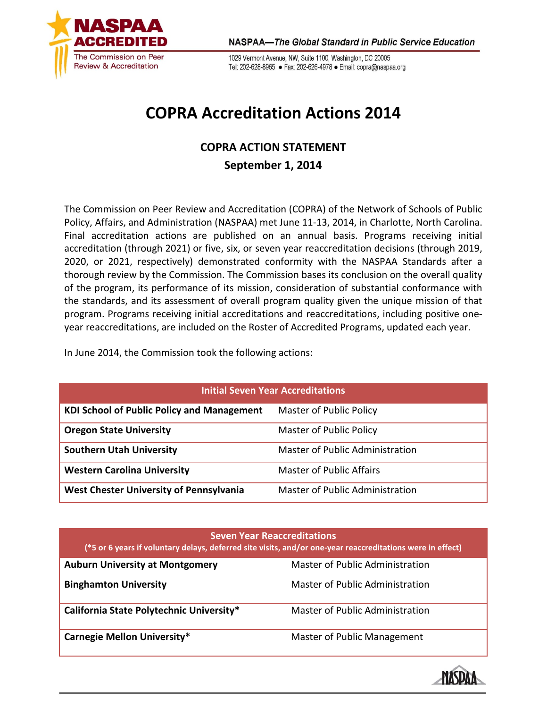

1029 Vermont Avenue, NW, Suite 1100, Washington, DC 20005 Tel: 202-628-8965 · Fax: 202-626-4978 · Email: copra@naspaa.org

## **COPRA Accreditation Actions 2014**

## **COPRA ACTION STATEMENT September 1, 2014**

The Commission on Peer Review and Accreditation (COPRA) of the Network of Schools of Public Policy, Affairs, and Administration (NASPAA) met June 11-13, 2014, in Charlotte, North Carolina. Final accreditation actions are published on an annual basis. Programs receiving initial accreditation (through 2021) or five, six, or seven year reaccreditation decisions (through 2019, 2020, or 2021, respectively) demonstrated conformity with the NASPAA Standards after a thorough review by the Commission. The Commission bases its conclusion on the overall quality of the program, its performance of its mission, consideration of substantial conformance with the standards, and its assessment of overall program quality given the unique mission of that program. Programs receiving initial accreditations and reaccreditations, including positive oneyear reaccreditations, are included on the Roster of Accredited Programs, updated each year.

In June 2014, the Commission took the following actions:

| <b>Initial Seven Year Accreditations</b>          |                                 |  |
|---------------------------------------------------|---------------------------------|--|
| <b>KDI School of Public Policy and Management</b> | <b>Master of Public Policy</b>  |  |
| <b>Oregon State University</b>                    | <b>Master of Public Policy</b>  |  |
| <b>Southern Utah University</b>                   | Master of Public Administration |  |
| <b>Western Carolina University</b>                | <b>Master of Public Affairs</b> |  |
| <b>West Chester University of Pennsylvania</b>    | Master of Public Administration |  |

## **Seven Year Reaccreditations**

| эсүсш кап кеасакананын э<br>(*5 or 6 years if voluntary delays, deferred site visits, and/or one-year reaccreditations were in effect) |                                 |  |
|----------------------------------------------------------------------------------------------------------------------------------------|---------------------------------|--|
| <b>Auburn University at Montgomery</b>                                                                                                 | Master of Public Administration |  |
| <b>Binghamton University</b>                                                                                                           | Master of Public Administration |  |
| California State Polytechnic University*                                                                                               | Master of Public Administration |  |
| <b>Carnegie Mellon University*</b>                                                                                                     | Master of Public Management     |  |

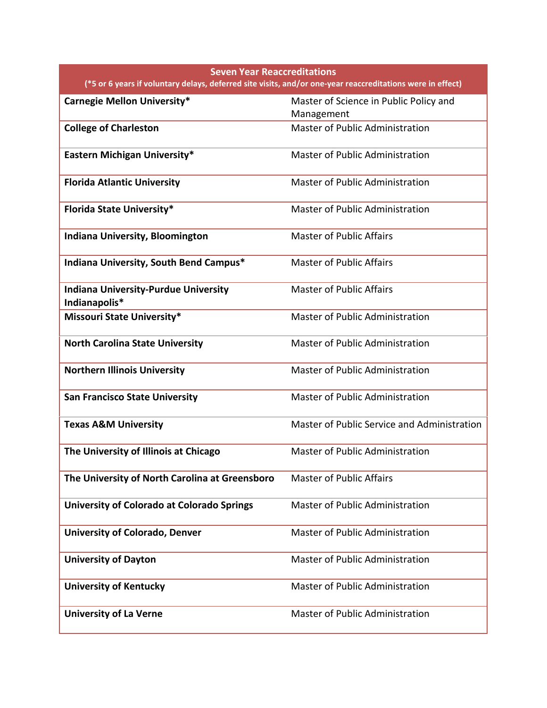| <b>Seven Year Reaccreditations</b><br>(*5 or 6 years if voluntary delays, deferred site visits, and/or one-year reaccreditations were in effect) |                                                      |  |
|--------------------------------------------------------------------------------------------------------------------------------------------------|------------------------------------------------------|--|
| <b>Carnegie Mellon University*</b>                                                                                                               | Master of Science in Public Policy and<br>Management |  |
| <b>College of Charleston</b>                                                                                                                     | Master of Public Administration                      |  |
| Eastern Michigan University*                                                                                                                     | Master of Public Administration                      |  |
| <b>Florida Atlantic University</b>                                                                                                               | Master of Public Administration                      |  |
| <b>Florida State University*</b>                                                                                                                 | <b>Master of Public Administration</b>               |  |
| <b>Indiana University, Bloomington</b>                                                                                                           | <b>Master of Public Affairs</b>                      |  |
| Indiana University, South Bend Campus*                                                                                                           | <b>Master of Public Affairs</b>                      |  |
| <b>Indiana University-Purdue University</b><br>Indianapolis*                                                                                     | <b>Master of Public Affairs</b>                      |  |
| <b>Missouri State University*</b>                                                                                                                | <b>Master of Public Administration</b>               |  |
| <b>North Carolina State University</b>                                                                                                           | Master of Public Administration                      |  |
| <b>Northern Illinois University</b>                                                                                                              | <b>Master of Public Administration</b>               |  |
| <b>San Francisco State University</b>                                                                                                            | <b>Master of Public Administration</b>               |  |
| <b>Texas A&amp;M University</b>                                                                                                                  | Master of Public Service and Administration          |  |
| The University of Illinois at Chicago                                                                                                            | <b>Master of Public Administration</b>               |  |
| The University of North Carolina at Greensboro                                                                                                   | <b>Master of Public Affairs</b>                      |  |
| <b>University of Colorado at Colorado Springs</b>                                                                                                | <b>Master of Public Administration</b>               |  |
| <b>University of Colorado, Denver</b>                                                                                                            | <b>Master of Public Administration</b>               |  |
| <b>University of Dayton</b>                                                                                                                      | <b>Master of Public Administration</b>               |  |
| <b>University of Kentucky</b>                                                                                                                    | <b>Master of Public Administration</b>               |  |
| <b>University of La Verne</b>                                                                                                                    | <b>Master of Public Administration</b>               |  |